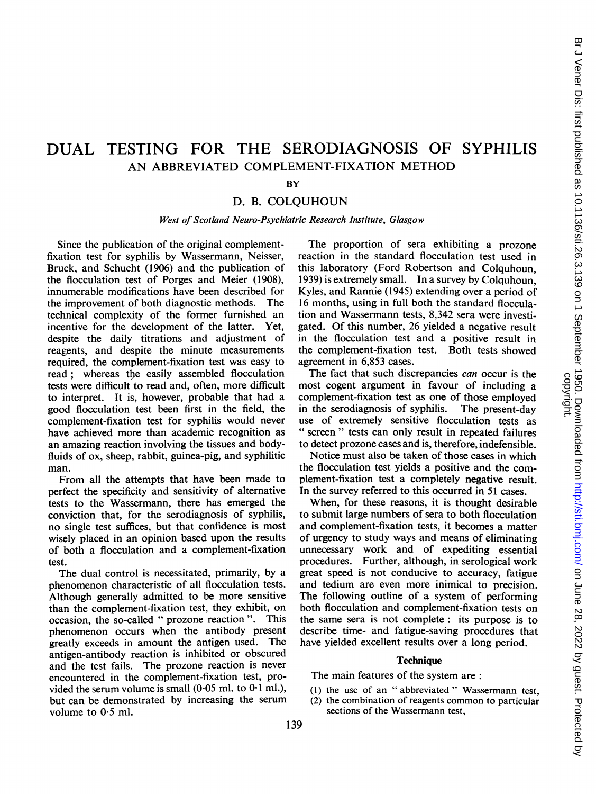# DUAL TESTING FOR THE SERODIAGNOSIS OF SYPHILIS AN ABBREVIATED COMPLEMENT-FIXATION METHOD

### **BY**

# D. B. COLQUHOUN

#### West of Scotland Neuro-Psychiatric Research Institute, Glasgow

Since the publication of the original complementfixation test for syphilis by Wassermann, Neisser, Bruck, and Schucht (1906) and the publication of the flocculation test of Porges and Meier (1908), innumerable modifications have been described for the improvement of both diagnostic methods. The technical complexity of the former furnished an incentive for the development of the latter. Yet, despite the daily titrations and adjustment of reagents, and despite the minute measurements required, the complement-fixation test was easy to read: whereas the easily assembled flocculation tests were difficult to read and, often, more difficult to interpret. It is, however, probable that had a good flocculation test been first in the field, the complement-fixation test for syphilis would never have achieved more than academic recognition as an amazing reaction involving the tissues and bodyfluids of ox, sheep, rabbit, guinea-pig, and syphilitic man.

From all the attempts that have been made to perfect the specificity and sensitivity of alternative tests to the Wassermann, there has emerged the conviction that, for the serodiagnosis of syphilis, no single test suffices, but that confidence is most wisely placed in an opinion based upon the results of both a flocculation and a complement-fixation test.

The dual control is necessitated, primarily, by a phenomenon characteristic of all flocculation tests. Although generally admitted to be more sensitive than the complement-fixation test, they exhibit, on occasion, the so-called " prozone reaction ". This phenomenon occurs when the antibody present greatly exceeds in amount the antigen used. The antigen-antibody reaction is inhibited or obscured and the test fails. The prozone reaction is never encountered in the complement-fixation test, provided the serum volume is small  $(0.05 \text{ ml}$ , to  $0.1 \text{ ml}$ .), but can be demonstrated by increasing the serum volume to  $0.5$  ml.

The proportion of sera exhibiting a prozone reaction in the standard flocculation test used in this laboratory (Ford Robertson and Colquhoun, 1939) is extremely small. In a survey by Colquhoun, Kyles, and Rannie (1945) extending over a period of 16 months, using in full both the standard flocculation and Wassermann tests, 8,342 sera were investigated. Of this number, 26 yielded a negative result in the flocculation test and a positive result in the complement-fixation test. Both tests showed agreement in 6,853 cases.

The fact that such discrepancies *can* occur is the most cogent argument in favour of including a complement-fixation test as one of those employed<br>in the serodiagnosis of syphilis. The present-day in the serodiagnosis of syphilis. use of extremely sensitive flocculation tests as " screen" tests can only result in repeated failures to detect prozone cases and is, therefore, indefensible.

Notice must also be taken of those cases in which the flocculation test yields a positive and the complement-fixation test a completely negative result. In the survey referred to this occurred in 51 cases.

When, for these reasons, it is thought desirable to submit large numbers of sera to both flocculation and complement-fixation tests, it becomes a matter of urgency to study ways and means of eliminating unnecessary work and of expediting essential procedures. Further, although, in serological work great speed is not conducive to accuracy, fatigue and tedium are even more inimical to precision. The following outline of a system of performing both flocculation and complement-fixation tests on the same sera is not complete: its purpose is to describe time- and fatigue-saving procedures that have yielded excellent results over a long period.

#### **Technique**

The main features of the system are:

- (1) the use of an " abbreviated " Wassermann test,
- (2) the combination of reagents common to particular sections of the Wassermann test,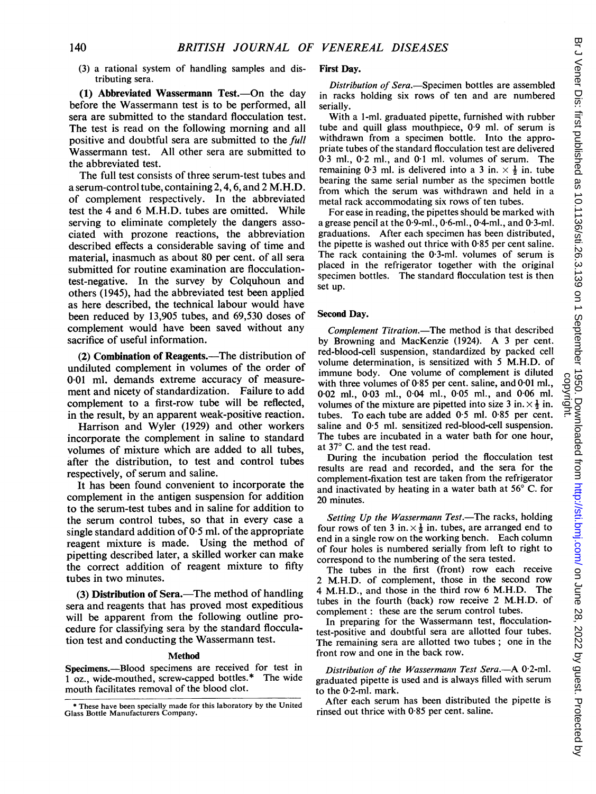(3) a rational system of handling samples and distributing sera.

(1) Abbreviated Wassermann Test.—On the day before the Wassermann test is to be performed, all sera are submitted to the standard flocculation test. The test is read on the following morning and all positive and doubtful sera are submitted to the full Wassermann test. All other sera are submitted to the abbreviated test.

The full test consists of three serum-test tubes and a serum-control tube, containing 2,4,6, and 2 M.H.D. of complement respectively. In the abbreviated test the 4 and 6 M.H.D. tubes are omitted. While serving to eliminate completely the dangers associated with prozone reactions, the abbreviation described effects a considerable saving of time and material, inasmuch as about 80 per cent. of all sera submitted for routine examination are flocculationtest-negative. In the survey by Colquhoun and others (1945), had the abbreviated test been applied as here described, the technical labour would have been reduced by 13,905 tubes, and 69,530 doses of complement would have been saved without any sacrifice of useful information.

(2) Combination of Reagents.—The distribution of undiluted complement in volumes of the order of 0-01 ml. demands extreme accuracy of measurement and nicety of standardization. Failure to add complement to a first-row tube will be reflected, in the result, by an apparent weak-positive reaction.

Harrison and Wyler (1929) and other workers incorporate the complement in saline to standard volumes of mixture which are added to all tubes, after the distribution, to test and control tubes respectively, of serum and saline.

It has been found convenient to incorporate the complement in the antigen suspension for addition to the serum-test tubes and in saline for addition to the serum control tubes, so that in every case a single standard addition of  $0.5$  ml. of the appropriate reagent mixture is made. Using the method of pipetting described later, a skilled worker can make the correct addition of reagent mixture to fifty tubes in two minutes.

(3) Distribution of Sera.-The method of handling sera and reagents that has proved most expeditious will be apparent from the following outline procedure for classifying sera by the standard flocculation test and conducting the Wassermann test.

#### Method

**Specimens.**—Blood specimens are received for test in  $1 \text{ oz}$  wide-mouthed screw-capped bottles.<sup>\*</sup> The wide 1 oz., wide-mouthed, screw-capped bottles.\* mouth facilitates removal of the blood clot.

#### First Day.

Distribution of Sera.-Specimen bottles are assembled in racks holding six rows of ten and are numbered serially.

With a 1-ml. graduated pipette, furnished with rubber tube and quill glass mouthpiece, 0.9 ml. of serum is withdrawn from a specimen bottle. Into the appropriate tubes of the standard flocculation test are delivered 0-3 ml., 0-2 ml., and 0-1 ml. volumes of serum. The remaining 0.3 ml. is delivered into a 3 in.  $\times$   $\frac{1}{2}$  in. tube bearing the same serial number as the specimen bottle from which the serum was withdrawn and held in a metal rack accommodating six rows of ten tubes.

For ease in reading, the pipettes should be marked with a grease pencil at the 0-9-ml., 0-6-ml., 04-ml., and 0-3-ml. graduations. After each specimen has been distributed, the pipette is washed out thrice with 0 85 per cent saline. The rack containing the 0-3-ml. volumes of serum is placed in the refrigerator together with the original specimen bottles. The standard flocculation test is then set up.

#### Second Day.

Complement Titration.-The method is that described by Browning and MacKenzie (1924). A <sup>3</sup> per cent. red-blood-cell suspension, standardized by packed cell volume determination, is sensitized with 5 M.H.D. of immune body. One volume of complement is diluted with three volumes of 0.85 per cent. saline, and 0.01 ml., 0-02 ml., 0-03 ml., 0-04 ml., 005 ml., and 0-06 ml. volumes of the mixture are pipetted into size 3 in.  $\times \frac{1}{2}$  in. tubes. To each tube are added 0-5 ml. 0-85 per cent. saline and 0.5 ml. sensitized red-blood-cell suspension. The tubes are incubated in a water bath for one hour, at  $37^{\circ}$  C. and the test read.

During the incubation period the flocculation test results are read and recorded, and the sera for the complement-fixation test are taken from the refrigerator and inactivated by heating in a water bath at  $56^{\circ}$  C. for 20 minutes.

Setting Up the Wassermann Test.-The racks, holding four rows of ten 3 in.  $\times \frac{1}{2}$  in. tubes, are arranged end to end in a single row on the working bench. Each column of four holes is numbered serially from left to right to correspond to the numbering of the sera tested.

The tubes in the first (front) row each receive 2 M.H.D. of complement, those in the second row 4 M.H.D., and those in the third row <sup>6</sup> M.H.D. The tubes in the fourth (back) row receive 2 M.H.D. of complement: these are the serum control tubes.

In preparing for the Wassermann test, flocculationtest-positive and doubtful sera are allotted four tubes. The remaining sera are allotted two tubes; one in the front row and one in the back row.

Distribution of the Wassermann Test Sera.-A 0.2-ml. graduated pipette is used and is always filled with serum to the 0-2-ml. mark.

After each serum has been distributed the pipette is rinsed out thrice with 0-85 per cent. saline.

<sup>\*</sup> These have been specially made for this laboratory by the United Glass Bottle Manufacturers Company.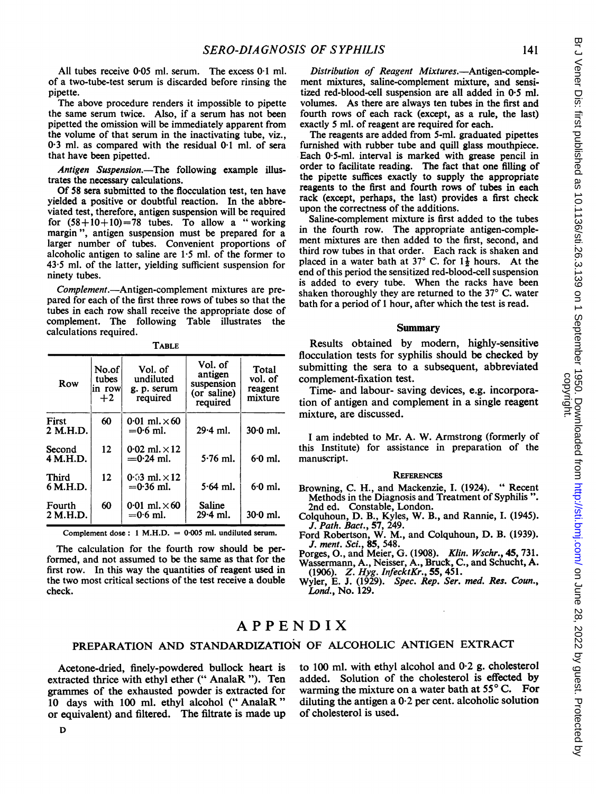All tubes receive 0.05 ml. serum. The excess 0.1 ml. of a two-tube-test serum is discarded before rinsing the pipette.

The above procedure renders it impossible to pipette the same serum twice. Also, if a serum has not been pipetted the omission will be immediately apparent from the volume of that serum in the inactivating tube, viz., 0.3 ml. as compared with the residual 0.1 ml. of sera that have been pipetted.

Antigen Suspension.-The following example illustrates the necessary calculations.

Of 58 sera submitted to the flocculation test, ten have yielded a positive or doubtful reaction. In the abbreviated test, therefore, antigen suspension will be required for  $(58+10+10)=78$  tubes. To allow a "working margin ", antigen suspension must be prepared for a larger number of tubes. Convenient proportions of alcoholic antigen to saline are  $1.5$  ml. of the former to 43\*5 ml. of the latter, yielding sufficient suspension for ninety tubes.

Complement.-Antigen-complement mixtures are prepared for each of the first three rows of tubes so that the tubes in each row shall receive the appropriate dose of complement. The following Table illustrates the calculations required.

| Row                | No.of<br>tubes<br>in row<br>$+2$ | Vol. of<br>undiluted<br>g. p. serum<br>required | Vol. of<br>antigen<br>suspension<br>(or saline)<br>required | Total<br>vol. of<br>reagent<br>mixture |
|--------------------|----------------------------------|-------------------------------------------------|-------------------------------------------------------------|----------------------------------------|
| First<br>2 M.H.D.  | 60                               | 0.01 ml $\times$ 60<br>$= 0.6$ ml.              | $29.4$ ml.                                                  | $30.0$ ml.                             |
| Second<br>4 M.H.D. | 12                               | 0.02 ml $. \times 12$<br>$=0.24$ ml.            | $5.76$ ml.                                                  | $6.0$ ml.                              |
| Third<br>6 M.H.D.  | 12                               | 0.03 ml. $\times$ 12<br>$= 0.36$ ml.            | $5.64$ ml.                                                  | $6.0$ ml.                              |
| Fourth<br>2 M.H.D. | 60                               | 0.01 ml $\times$ 60<br>$= 0.6$ ml.              | Saline<br>29.4 ml.                                          | $30.0$ ml.                             |

**TABLE** 

Complement dose:  $1$  M.H.D. = 0.005 ml. undiluted serum.

The calculation for the fourth row should be performed, and not assumed to be the same as that for the first row. In this way the quantities of reagent used in the two most critical sections of the test receive a double check.

Distribution of Reagent Mixtures.-Antigen-complement mixtures, saline-complement mixture, and sensitized red-blood-cell suspension are all added in 0'5 ml. volumes. As there are always ten tubes in the first and fourth rows of each rack (except, as a rule, the last) exactly 5 ml. of reagent are required for each.

The reagents are added from 5-ml. graduated pipettes furnished with rubber tube and quill glass mouthpiece. Each 0 5-ml. interval is marked with grease pencil in order to facilitate reading. The fact that one filling of the pipette suffices exactly to supply the appropriate reagents to the first and fourth rows of tubes in each rack (except, perhaps, the last) provides a first check upon the correctness of the additions.

Saline-complement mixture is first added to the tubes in the fourth row. The appropriate antigen-complement mixtures are then added to the first, second, and third row tubes in that order. Each rack is shaken and placed in a water bath at 37° C. for  $1\frac{1}{2}$  hours. At the end of this period the sensitized red-blood-cell suspension is added to every tube. When the racks have been shaken thoroughly they are returned to the  $37^{\circ}$  C. water bath for a period of <sup>1</sup> hour, after which the test is read.

### **Summary**

Results obtained by modern, highly-sensitive flocculation tests for syphilis should be checked by submitting the sera to a subsequent, abbreviated complement-fixation test.

Time- and labour- saving devices, e.g. incorporation of antigen and complement in a single reagent mixture, are discussed.

<sup>I</sup> am indebted to Mr. A. W. Armstrong (formerly of this Institute) for assistance in preparation of the manuscript.

#### **REFERENCES**

- Browning, C. H., and Mackenzie, I. (1924). " Recent Methods in the Diagnosis and Treatment of Syphilis ". 2nd ed. Constable, London.
- Colquhoun, D. B., Kyles, W. B., and Rannie, I. (1945).<br>J. Path. Bact., 57, 249.<br>Ford Robertson, W. M., and Colquhoun, D. B. (1939).
- J. ment. Sci., 85, 548.

Porges, O., and Meier, G. (1908). Klin. Wschr., 45, 731. Wassermann, A., Neisser, A., Bruck, C., and Schucht, A.<br>(1906). Z. Hyg. InfecktKr., 55, 451.<br>Wyler, E. J. (1929). Spec. Rep. Ser. med. Res. Coun.,

Lond., No. 129.

# APPENDIX

## PREPARATION AND STANDARDIZATION OF ALCOHOLIC ANTIGEN EXTRACT

Acetone-dried, finely-powdered bullock heart is extracted thrice with ethyl ether (" AnalaR "). Ten grammes of the exhausted powder is extracted for 10 days with 100 ml. ethyl alcohol (" AnalaR" or equivalent) and filtered. The filtrate is made up to 100 ml. with ethyl alcohol and 0.2 g. cholesterol added. Solution of the cholesterol is effected by warming the mixture on a water bath at  $55^{\circ}$  C. For diluting the antigen a  $0.2$  per cent. alcoholic solution of cholesterol is used.

141